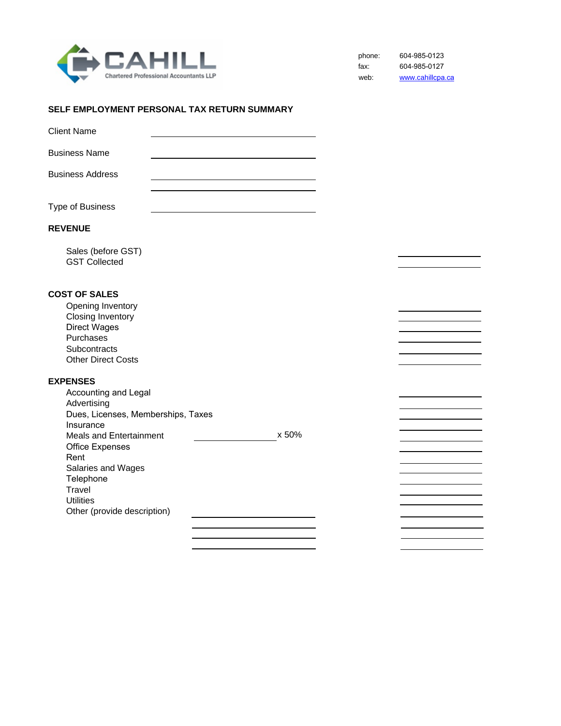

phone: fax: web: 604-985-0123 604-985-0127 www.cahillcpa.ca

### **SELF EMPLOYMENT PERSONAL TAX RETURN SUMMARY**

| Dues, Licenses, Memberships, Taxes<br><b>Meals and Entertainment</b><br>Other (provide description) | x 50% |  |
|-----------------------------------------------------------------------------------------------------|-------|--|
|                                                                                                     |       |  |